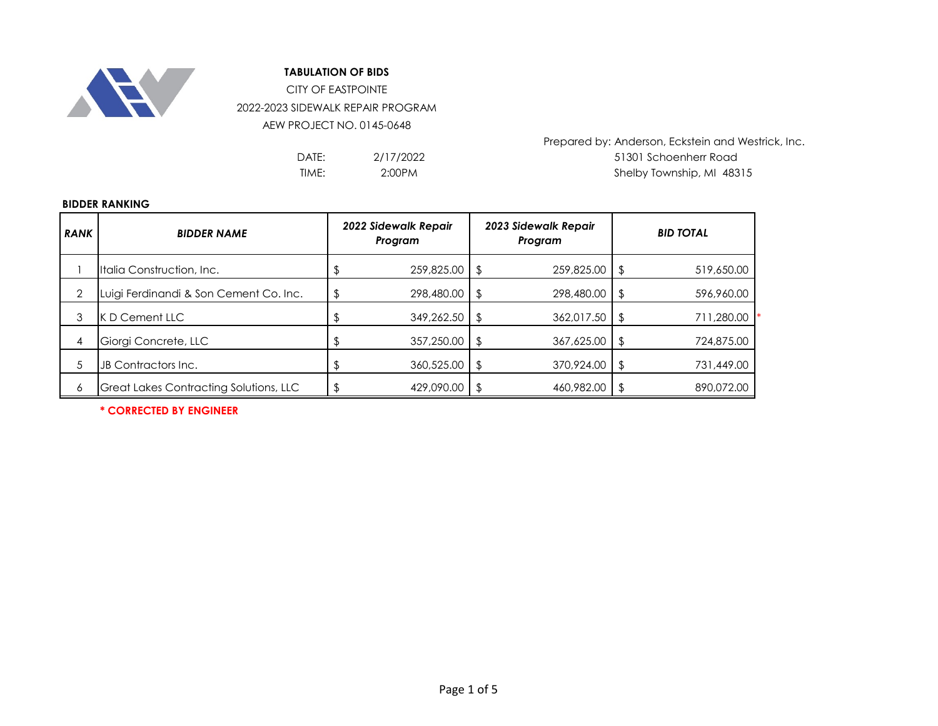

## **TABULATION OF BIDS**

CITY OF EASTPOINTE 2022-2023 SIDEWALK REPAIR PROGRAM AEW PROJECT NO. 0145-0648

| DATE: | 2/17/2022 |
|-------|-----------|
| TIME: | 2:00PM    |

Prepared by: Anderson, Eckstein and Westrick, Inc. DATE: 2/17/2022 31301 Schoenherr Road Shelby Township, MI 48315

## **BIDDER RANKING**

| <b>RANK</b> | <b>BIDDER NAME</b>                            | 2022 Sidewalk Repair<br>Program |            |      | 2023 Sidewalk Repair<br>Program | <b>BID TOTAL</b> |            |  |
|-------------|-----------------------------------------------|---------------------------------|------------|------|---------------------------------|------------------|------------|--|
|             | Italia Construction, Inc.                     |                                 | 259,825.00 |      | 259,825.00                      | \$               | 519,650.00 |  |
| 2           | Luigi Ferdinandi & Son Cement Co. Inc.        |                                 | 298,480.00 | l \$ | 298,480.00                      | '\$              | 596,960.00 |  |
| 3           | K D Cement LLC                                |                                 | 349,262.50 |      | 362,017.50                      |                  | 711,280.00 |  |
| 4           | Giorgi Concrete, LLC                          |                                 | 357,250.00 |      | 367,625.00                      | \$               | 724,875.00 |  |
| 5           | JB Contractors Inc.                           |                                 | 360,525.00 |      | 370,924.00                      | \$               | 731,449.00 |  |
| 6           | <b>Great Lakes Contracting Solutions, LLC</b> |                                 | 429,090.00 |      | 460,982.00                      |                  | 890,072.00 |  |

**\* CORRECTED BY ENGINEER**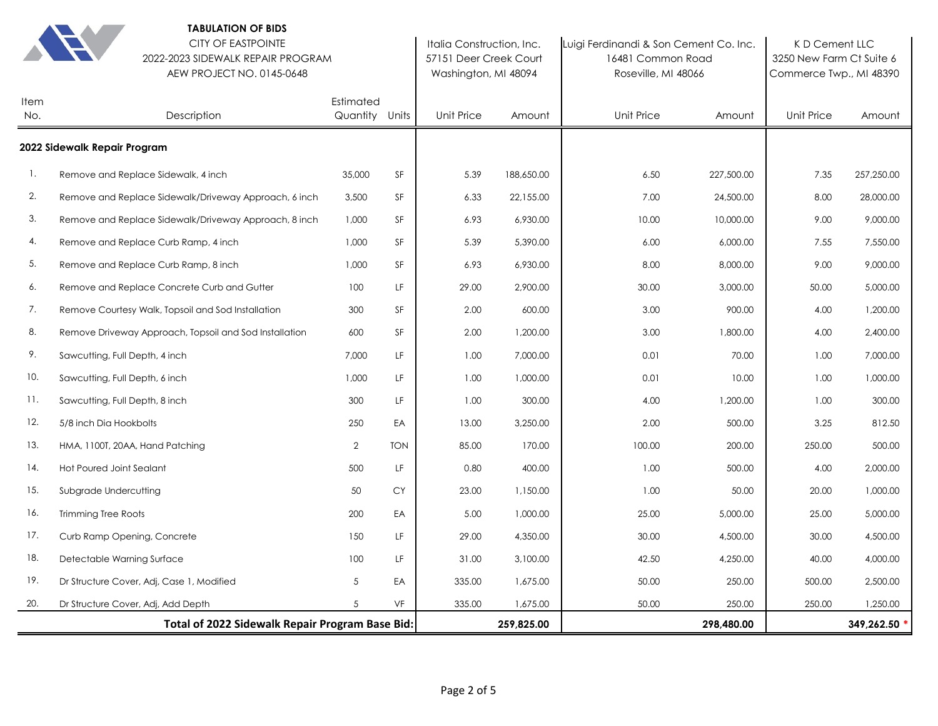|             | <b>TABULATION OF BIDS</b><br><b>CITY OF EASTPOINTE</b><br>2022-2023 SIDEWALK REPAIR PROGRAM<br>AEW PROJECT NO. 0145-0648 |                             |            | Italia Construction, Inc.<br>57151 Deer Creek Court<br>Washington, MI 48094 |            | Luigi Ferdinandi & Son Cement Co. Inc.<br>16481 Common Road<br>Roseville, MI 48066 | KD Cement LLC<br>3250 New Farm Ct Suite 6<br>Commerce Twp., MI 48390 |            |            |
|-------------|--------------------------------------------------------------------------------------------------------------------------|-----------------------------|------------|-----------------------------------------------------------------------------|------------|------------------------------------------------------------------------------------|----------------------------------------------------------------------|------------|------------|
| Item<br>No. | Description                                                                                                              | Estimated<br>Quantity Units |            | Unit Price                                                                  | Amount     | <b>Unit Price</b>                                                                  | Amount                                                               | Unit Price | Amount     |
|             | 2022 Sidewalk Repair Program                                                                                             |                             |            |                                                                             |            |                                                                                    |                                                                      |            |            |
| 1.          | Remove and Replace Sidewalk, 4 inch                                                                                      | 35,000                      | SF         | 5.39                                                                        | 188,650.00 | 6.50                                                                               | 227,500.00                                                           | 7.35       | 257,250.00 |
| 2.          | Remove and Replace Sidewalk/Driveway Approach, 6 inch                                                                    | 3,500                       | SF         | 6.33                                                                        | 22,155.00  | 7.00                                                                               | 24,500.00                                                            | 8.00       | 28,000.00  |
| 3.          | Remove and Replace Sidewalk/Driveway Approach, 8 inch                                                                    | 1,000                       | SF         | 6.93                                                                        | 6,930.00   | 10.00                                                                              | 10,000.00                                                            | 9.00       | 9,000.00   |
| 4.          | Remove and Replace Curb Ramp, 4 inch                                                                                     | 1,000                       | <b>SF</b>  | 5.39                                                                        | 5,390.00   | 6.00                                                                               | 6,000.00                                                             | 7.55       | 7,550.00   |
| 5.          | Remove and Replace Curb Ramp, 8 inch                                                                                     | 1,000                       | SF         | 6.93                                                                        | 6,930.00   | 8.00                                                                               | 8,000.00                                                             | 9.00       | 9,000.00   |
| 6.          | Remove and Replace Concrete Curb and Gutter                                                                              | 100                         | LF         | 29.00                                                                       | 2,900.00   | 30.00                                                                              | 3,000.00                                                             | 50.00      | 5,000.00   |
| 7.          | Remove Courtesy Walk, Topsoil and Sod Installation                                                                       | 300                         | SF         | 2.00                                                                        | 600.00     | 3.00                                                                               | 900.00                                                               | 4.00       | 1,200.00   |
| 8.          | Remove Driveway Approach, Topsoil and Sod Installation                                                                   | 600                         | <b>SF</b>  | 2.00                                                                        | 1,200.00   | 3.00                                                                               | 1,800.00                                                             | 4.00       | 2,400.00   |
| 9.          | Sawcutting, Full Depth, 4 inch                                                                                           | 7,000                       | LF         | 1.00                                                                        | 7,000.00   | 0.01                                                                               | 70.00                                                                | 1.00       | 7,000.00   |
| 10.         | Sawcutting, Full Depth, 6 inch                                                                                           | 1,000                       | LF         | 1.00                                                                        | 1,000.00   | 0.01                                                                               | 10.00                                                                | 1.00       | 1,000.00   |
| 11.         | Sawcutting, Full Depth, 8 inch                                                                                           | 300                         | LF         | 1.00                                                                        | 300.00     | 4.00                                                                               | 1,200.00                                                             | 1.00       | 300.00     |
| 12.         | 5/8 inch Dia Hookbolts                                                                                                   | 250                         | EA         | 13.00                                                                       | 3,250.00   | 2.00                                                                               | 500.00                                                               | 3.25       | 812.50     |
| 13.         | HMA, 1100T, 20AA, Hand Patching                                                                                          | $\overline{2}$              | <b>TON</b> | 85.00                                                                       | 170.00     | 100.00                                                                             | 200.00                                                               | 250.00     | 500.00     |
| 14.         | Hot Poured Joint Sealant                                                                                                 | 500                         | LF         | 0.80                                                                        | 400.00     | 1.00                                                                               | 500.00                                                               | 4.00       | 2,000.00   |
| 15.         | Subgrade Undercutting                                                                                                    | 50                          | CY         | 23.00                                                                       | 1,150.00   | 1.00                                                                               | 50.00                                                                | 20.00      | 1,000.00   |
| 16.         | <b>Trimming Tree Roots</b>                                                                                               | 200                         | EA         | 5.00                                                                        | 1,000.00   | 25.00                                                                              | 5,000.00                                                             | 25.00      | 5,000.00   |
| 17.         | Curb Ramp Opening, Concrete                                                                                              | 150                         | LF.        | 29.00                                                                       | 4,350.00   | 30.00                                                                              | 4,500.00                                                             | 30.00      | 4,500.00   |
| 18.         | Detectable Warning Surface                                                                                               | 100                         | LF.        | 31.00                                                                       | 3,100.00   | 42.50                                                                              | 4,250.00                                                             | 40.00      | 4,000.00   |
| 19.         | Dr Structure Cover, Adj, Case 1, Modified                                                                                | 5                           | EA         | 335.00                                                                      | 1,675.00   | 50.00                                                                              | 250.00                                                               | 500.00     | 2,500.00   |
| 20.         | Dr Structure Cover, Adj, Add Depth                                                                                       | 5                           | VF         | 335.00                                                                      | 1,675.00   | 50.00                                                                              | 250.00                                                               | 250.00     | 1,250.00   |
|             | Total of 2022 Sidewalk Repair Program Base Bid:                                                                          |                             |            |                                                                             | 259,825.00 |                                                                                    | 298,480.00                                                           |            | 349,262.50 |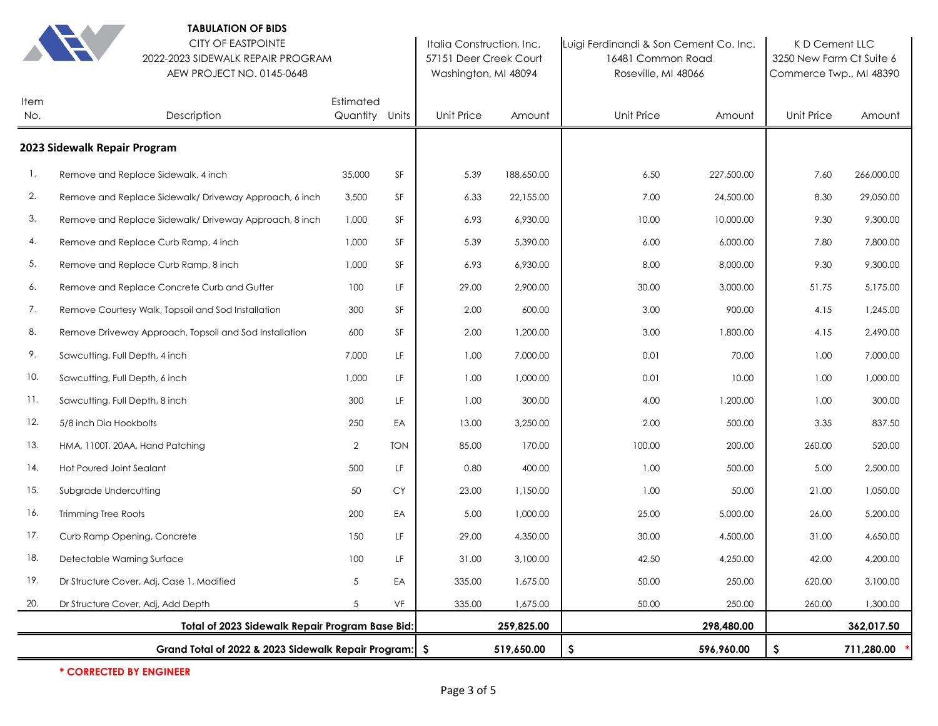|             | <b>TABULATION OF BIDS</b><br><b>CITY OF EASTPOINTE</b><br>2022-2023 SIDEWALK REPAIR PROGRAM<br>AEW PROJECT NO. 0145-0648 |                             |            | Italia Construction, Inc.<br>57151 Deer Creek Court<br>Washington, MI 48094 |            |                   | Luigi Ferdinandi & Son Cement Co. Inc.<br>16481 Common Road<br>Roseville, MI 48066 |            | K D Cement LLC<br>3250 New Farm Ct Suite 6<br>Commerce Twp., MI 48390 |
|-------------|--------------------------------------------------------------------------------------------------------------------------|-----------------------------|------------|-----------------------------------------------------------------------------|------------|-------------------|------------------------------------------------------------------------------------|------------|-----------------------------------------------------------------------|
| Item<br>No. | Description                                                                                                              | Estimated<br>Quantity Units |            | Unit Price                                                                  | Amount     | <b>Unit Price</b> | Amount                                                                             | Unit Price | Amount                                                                |
|             | 2023 Sidewalk Repair Program                                                                                             |                             |            |                                                                             |            |                   |                                                                                    |            |                                                                       |
| 1.          | Remove and Replace Sidewalk, 4 inch                                                                                      | 35,000                      | SF         | 5.39                                                                        | 188,650.00 | 6.50              | 227,500.00                                                                         | 7.60       | 266,000.00                                                            |
| 2.          | Remove and Replace Sidewalk/Driveway Approach, 6 inch                                                                    | 3,500                       | SF         | 6.33                                                                        | 22,155.00  | 7.00              | 24,500.00                                                                          | 8.30       | 29,050.00                                                             |
| 3.          | Remove and Replace Sidewalk/Driveway Approach, 8 inch                                                                    | 1,000                       | SF         | 6.93                                                                        | 6,930.00   | 10.00             | 10,000.00                                                                          | 9.30       | 9,300.00                                                              |
| 4.          | Remove and Replace Curb Ramp, 4 inch                                                                                     | 1,000                       | SF         | 5.39                                                                        | 5,390.00   | 6.00              | 6,000.00                                                                           | 7.80       | 7,800.00                                                              |
| 5.          | Remove and Replace Curb Ramp, 8 inch                                                                                     | 1,000                       | SF         | 6.93                                                                        | 6,930.00   | 8.00              | 8,000.00                                                                           | 9.30       | 9,300.00                                                              |
| 6.          | Remove and Replace Concrete Curb and Gutter                                                                              | 100                         | LF         | 29.00                                                                       | 2,900.00   | 30.00             | 3,000.00                                                                           | 51.75      | 5,175.00                                                              |
| 7.          | Remove Courtesy Walk, Topsoil and Sod Installation                                                                       | 300                         | SF         | 2.00                                                                        | 600.00     | 3.00              | 900.00                                                                             | 4.15       | 1,245.00                                                              |
| 8.          | Remove Driveway Approach, Topsoil and Sod Installation                                                                   | 600                         | SF         | 2.00                                                                        | 1,200.00   | 3.00              | 1,800.00                                                                           | 4.15       | 2,490.00                                                              |
| 9.          | Sawcutting, Full Depth, 4 inch                                                                                           | 7,000                       | LF         | 1.00                                                                        | 7,000.00   | 0.01              | 70.00                                                                              | 1.00       | 7,000.00                                                              |
| 10.         | Sawcutting, Full Depth, 6 inch                                                                                           | 1,000                       | LF         | 1.00                                                                        | 1,000.00   | 0.01              | 10.00                                                                              | 1.00       | 1,000.00                                                              |
| 11.         | Sawcutting, Full Depth, 8 inch                                                                                           | 300                         | LF         | 1.00                                                                        | 300.00     | 4.00              | 1,200.00                                                                           | 1.00       | 300.00                                                                |
| 12.         | 5/8 inch Dia Hookbolts                                                                                                   | 250                         | EA         | 13.00                                                                       | 3,250.00   | 2.00              | 500.00                                                                             | 3.35       | 837.50                                                                |
| 13.         | HMA, 1100T, 20AA, Hand Patching                                                                                          | $\overline{2}$              | <b>TON</b> | 85.00                                                                       | 170.00     | 100.00            | 200.00                                                                             | 260.00     | 520.00                                                                |
| 14.         | Hot Poured Joint Sealant                                                                                                 | 500                         | LF         | 0.80                                                                        | 400.00     | 1.00              | 500.00                                                                             | 5.00       | 2,500.00                                                              |
| 15.         | Subgrade Undercutting                                                                                                    | 50                          | <b>CY</b>  | 23.00                                                                       | 1,150.00   | 1.00              | 50.00                                                                              | 21.00      | 1,050.00                                                              |
| 16.         | <b>Trimming Tree Roots</b>                                                                                               | 200                         | EA         | 5.00                                                                        | 1,000.00   | 25.00             | 5,000.00                                                                           | 26.00      | 5,200.00                                                              |
| 17.         | Curb Ramp Opening, Concrete                                                                                              | 150                         | LF         | 29.00                                                                       | 4,350.00   | 30.00             | 4,500.00                                                                           | 31.00      | 4,650.00                                                              |
| 18.         | Detectable Warning Surface                                                                                               | $100\,$                     | LF         | 31.00                                                                       | 3,100.00   | 42.50             | 4,250.00                                                                           | 42.00      | 4,200.00                                                              |
| 19.         | Dr Structure Cover, Adj, Case 1, Modified                                                                                | $\,$ 5 $\,$                 | EA         | 335.00                                                                      | 1,675.00   | 50.00             | 250.00                                                                             | 620.00     | 3,100.00                                                              |
| 20.         | Dr Structure Cover, Adj, Add Depth                                                                                       | 5                           | VF         | 335.00                                                                      | 1,675.00   | 50.00             | 250.00                                                                             | 260.00     | 1,300.00                                                              |
|             | Total of 2023 Sidewalk Repair Program Base Bid:                                                                          |                             |            |                                                                             | 259,825.00 |                   | 298,480.00                                                                         |            | 362,017.50                                                            |
|             | Grand Total of 2022 & 2023 Sidewalk Repair Program:   \$                                                                 |                             |            |                                                                             | 519,650.00 | \$                | 596,960.00                                                                         | \$         | 711,280.00                                                            |

**\* CORRECTED BY ENGINEER**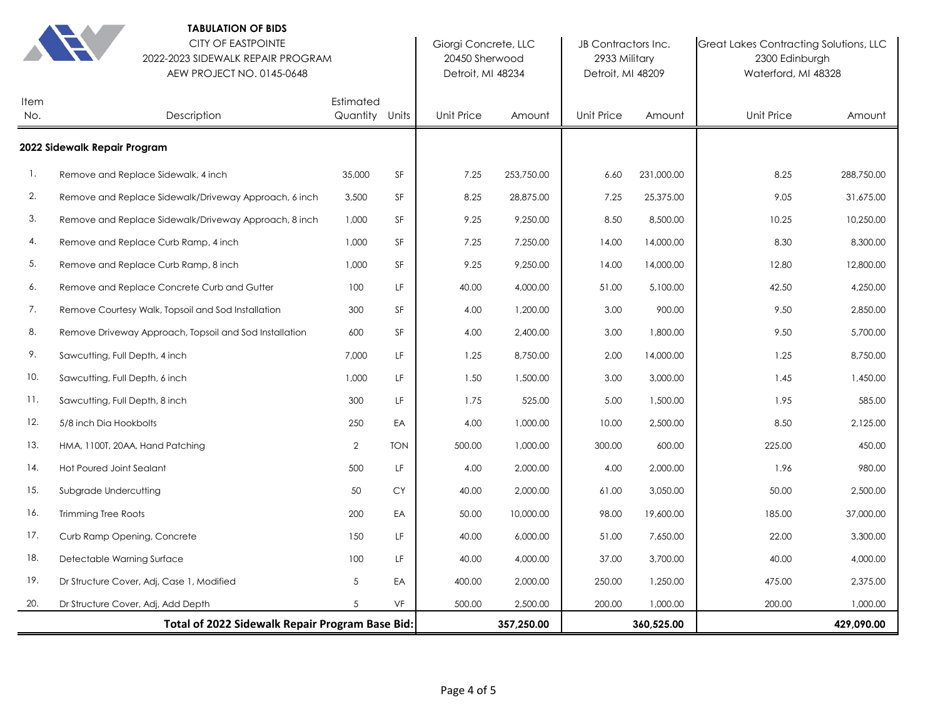|                                                 | <b>IABULATION OF BIDS</b><br><b>CITY OF EASTPOINTE</b><br>2022-2023 SIDEWALK REPAIR PROGRAM<br>AEW PROJECT NO. 0145-0648 |                             |            | Giorgi Concrete, LLC<br>20450 Sherwood<br>Detroit, MI 48234 |            | JB Contractors Inc.<br>2933 Military<br>Detroit, MI 48209 |            | Great Lakes Contracting Solutions, LLC<br>2300 Edinburgh<br>Waterford, MI 48328 |            |
|-------------------------------------------------|--------------------------------------------------------------------------------------------------------------------------|-----------------------------|------------|-------------------------------------------------------------|------------|-----------------------------------------------------------|------------|---------------------------------------------------------------------------------|------------|
| Item<br>No.                                     | Description                                                                                                              | Estimated<br>Quantity Units |            | Unit Price                                                  | Amount     | Unit Price                                                | Amount     | Unit Price                                                                      | Amount     |
|                                                 | 2022 Sidewalk Repair Program                                                                                             |                             |            |                                                             |            |                                                           |            |                                                                                 |            |
| 1.                                              | Remove and Replace Sidewalk, 4 inch                                                                                      | 35,000                      | SF         | 7.25                                                        | 253,750.00 | 6.60                                                      | 231,000.00 | 8.25                                                                            | 288,750.00 |
| 2.                                              | Remove and Replace Sidewalk/Driveway Approach, 6 inch                                                                    | 3,500                       | SF         | 8.25                                                        | 28,875.00  | 7.25                                                      | 25,375.00  | 9.05                                                                            | 31,675.00  |
| 3.                                              | Remove and Replace Sidewalk/Driveway Approach, 8 inch                                                                    | 1,000                       | SF         | 9.25                                                        | 9,250.00   | 8.50                                                      | 8,500.00   | 10.25                                                                           | 10,250.00  |
| 4.                                              | Remove and Replace Curb Ramp, 4 inch                                                                                     | 1,000                       | SF         | 7.25                                                        | 7,250.00   | 14.00                                                     | 14,000.00  | 8.30                                                                            | 8,300.00   |
| 5.                                              | Remove and Replace Curb Ramp, 8 inch                                                                                     | 1,000                       | SF         | 9.25                                                        | 9,250.00   | 14.00                                                     | 14,000.00  | 12.80                                                                           | 12,800.00  |
| 6.                                              | Remove and Replace Concrete Curb and Gutter                                                                              | 100                         | LF         | 40.00                                                       | 4,000.00   | 51.00                                                     | 5,100.00   | 42.50                                                                           | 4,250.00   |
| 7.                                              | Remove Courtesy Walk, Topsoil and Sod Installation                                                                       | 300                         | SF         | 4.00                                                        | 1,200.00   | 3.00                                                      | 900.00     | 9.50                                                                            | 2,850.00   |
| 8.                                              | Remove Driveway Approach, Topsoil and Sod Installation                                                                   | 600                         | SF         | 4.00                                                        | 2,400.00   | 3.00                                                      | 1,800.00   | 9.50                                                                            | 5,700.00   |
| 9.                                              | Sawcutting, Full Depth, 4 inch                                                                                           | 7,000                       | LF         | 1.25                                                        | 8,750.00   | 2.00                                                      | 14,000.00  | 1.25                                                                            | 8,750.00   |
| 10.                                             | Sawcutting, Full Depth, 6 inch                                                                                           | 1,000                       | LF         | 1.50                                                        | 1,500.00   | 3.00                                                      | 3,000.00   | 1.45                                                                            | 1,450.00   |
| 11.                                             | Sawcutting, Full Depth, 8 inch                                                                                           | 300                         | LF         | 1.75                                                        | 525.00     | 5.00                                                      | 1,500.00   | 1.95                                                                            | 585.00     |
| 12.                                             | 5/8 inch Dia Hookbolts                                                                                                   | 250                         | EA         | 4.00                                                        | 1,000.00   | 10.00                                                     | 2,500.00   | 8.50                                                                            | 2,125.00   |
| 13.                                             | HMA, 1100T, 20AA, Hand Patching                                                                                          | $\overline{2}$              | <b>TON</b> | 500.00                                                      | 1,000.00   | 300.00                                                    | 600.00     | 225.00                                                                          | 450.00     |
| 14.                                             | Hot Poured Joint Sealant                                                                                                 | 500                         | LF         | 4.00                                                        | 2,000.00   | 4.00                                                      | 2,000.00   | 1.96                                                                            | 980.00     |
| 15.                                             | Subgrade Undercutting                                                                                                    | 50                          | <b>CY</b>  | 40.00                                                       | 2,000.00   | 61.00                                                     | 3,050.00   | 50.00                                                                           | 2,500.00   |
| 16.                                             | <b>Trimming Tree Roots</b>                                                                                               | 200                         | EA         | 50.00                                                       | 10,000.00  | 98.00                                                     | 19,600.00  | 185.00                                                                          | 37,000.00  |
| 17.                                             | Curb Ramp Opening, Concrete                                                                                              | 150                         | LF         | 40.00                                                       | 6,000.00   | 51.00                                                     | 7,650.00   | 22.00                                                                           | 3,300.00   |
| 18.                                             | Detectable Warning Surface                                                                                               | 100                         | LF         | 40.00                                                       | 4,000.00   | 37.00                                                     | 3,700.00   | 40.00                                                                           | 4,000.00   |
| 19.                                             | Dr Structure Cover, Adj, Case 1, Modified                                                                                | 5                           | EA         | 400.00                                                      | 2,000.00   | 250.00                                                    | 1,250.00   | 475.00                                                                          | 2,375.00   |
| 20.                                             | Dr Structure Cover, Adj, Add Depth                                                                                       | 5                           | VF         | 500.00                                                      | 2,500.00   | 200.00                                                    | 1,000.00   | 200.00                                                                          | 1,000.00   |
| Total of 2022 Sidewalk Repair Program Base Bid: |                                                                                                                          |                             |            |                                                             | 357,250.00 |                                                           | 360,525.00 |                                                                                 | 429,090.00 |

**TABULATION OF BIDS**